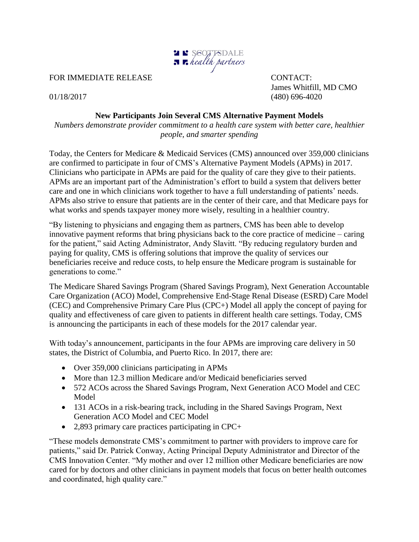

FOR IMMEDIATE RELEASE CONTACT:

James Whitfill, MD CMO 01/18/2017 (480) 696-4020

## **New Participants Join Several CMS Alternative Payment Models**

*Numbers demonstrate provider commitment to a health care system with better care, healthier people, and smarter spending*

Today, the Centers for Medicare & Medicaid Services (CMS) announced over 359,000 clinicians are confirmed to participate in four of CMS's Alternative Payment Models (APMs) in 2017. Clinicians who participate in APMs are paid for the quality of care they give to their patients. APMs are an important part of the Administration's effort to build a system that delivers better care and one in which clinicians work together to have a full understanding of patients' needs. APMs also strive to ensure that patients are in the center of their care, and that Medicare pays for what works and spends taxpayer money more wisely, resulting in a healthier country.

"By listening to physicians and engaging them as partners, CMS has been able to develop innovative payment reforms that bring physicians back to the core practice of medicine – caring for the patient," said Acting Administrator, Andy Slavitt. "By reducing regulatory burden and paying for quality, CMS is offering solutions that improve the quality of services our beneficiaries receive and reduce costs, to help ensure the Medicare program is sustainable for generations to come."

The Medicare Shared Savings Program (Shared Savings Program), Next Generation Accountable Care Organization (ACO) Model, Comprehensive End-Stage Renal Disease (ESRD) Care Model (CEC) and Comprehensive Primary Care Plus (CPC+) Model all apply the concept of paying for quality and effectiveness of care given to patients in different health care settings. Today, CMS is announcing the participants in each of these models for the 2017 calendar year.

With today's announcement, participants in the four APMs are improving care delivery in 50 states, the District of Columbia, and Puerto Rico. In 2017, there are:

- Over 359,000 clinicians participating in APMs
- More than 12.3 million Medicare and/or Medicaid beneficiaries served
- 572 ACOs across the Shared Savings Program, Next Generation ACO Model and CEC Model
- 131 ACOs in a risk-bearing track, including in the Shared Savings Program, Next Generation ACO Model and CEC Model
- 2,893 primary care practices participating in CPC+

"These models demonstrate CMS's commitment to partner with providers to improve care for patients," said Dr. Patrick Conway, Acting Principal Deputy Administrator and Director of the CMS Innovation Center. "My mother and over 12 million other Medicare beneficiaries are now cared for by doctors and other clinicians in payment models that focus on better health outcomes and coordinated, high quality care."